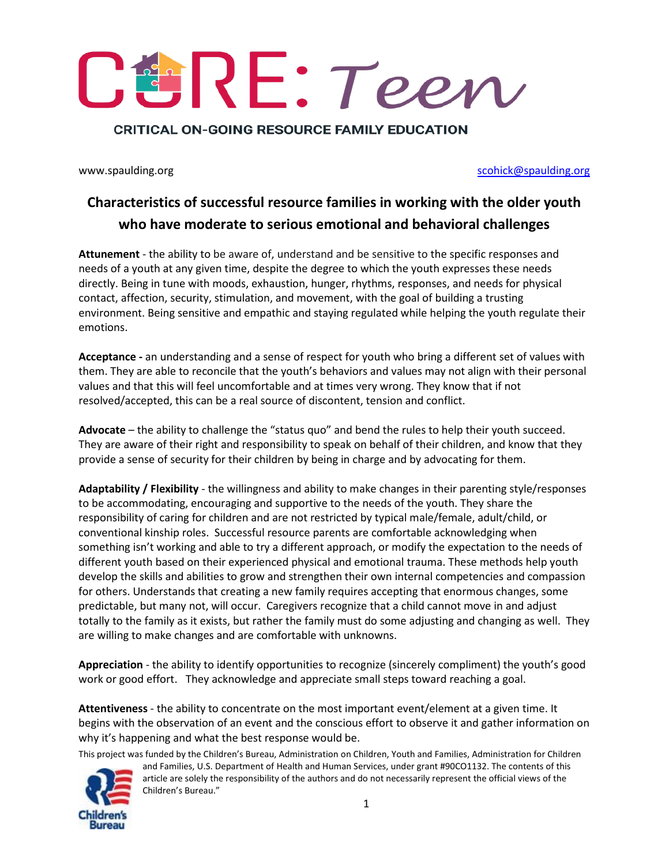**CRITICAL ON-GOING RESOURCE FAMILY EDUCATION** 

www.spaulding.org [scohick@spaulding.org](mailto:scohick@spaulding.org) scohick@spaulding.org

## **Characteristics of successful resource families in working with the older youth who have moderate to serious emotional and behavioral challenges**

**Attunement** - the ability to be aware of, understand and be sensitive to the specific responses and needs of a youth at any given time, despite the degree to which the youth expresses these needs directly. Being in tune with moods, exhaustion, hunger, rhythms, responses, and needs for physical contact, affection, security, stimulation, and movement, with the goal of building a trusting environment. Being sensitive and empathic and staying regulated while helping the youth regulate their emotions.

**Acceptance -** an understanding and a sense of respect for youth who bring a different set of values with them. They are able to reconcile that the youth's behaviors and values may not align with their personal values and that this will feel uncomfortable and at times very wrong. They know that if not resolved/accepted, this can be a real source of discontent, tension and conflict.

**Advocate** – the ability to challenge the "status quo" and bend the rules to help their youth succeed. They are aware of their right and responsibility to speak on behalf of their children, and know that they provide a sense of security for their children by being in charge and by advocating for them.

**Adaptability / Flexibility** - the willingness and ability to make changes in their parenting style/responses to be accommodating, encouraging and supportive to the needs of the youth. They share the responsibility of caring for children and are not restricted by typical male/female, adult/child, or conventional kinship roles. Successful resource parents are comfortable acknowledging when something isn't working and able to try a different approach, or modify the expectation to the needs of different youth based on their experienced physical and emotional trauma. These methods help youth develop the skills and abilities to grow and strengthen their own internal competencies and compassion for others. Understands that creating a new family requires accepting that enormous changes, some predictable, but many not, will occur. Caregivers recognize that a child cannot move in and adjust totally to the family as it exists, but rather the family must do some adjusting and changing as well. They are willing to make changes and are comfortable with unknowns.

**Appreciation** - the ability to identify opportunities to recognize (sincerely compliment) the youth's good work or good effort. They acknowledge and appreciate small steps toward reaching a goal.

**Attentiveness** - the ability to concentrate on the most important event/element at a given time. It begins with the observation of an event and the conscious effort to observe it and gather information on why it's happening and what the best response would be.

This project was funded by the Children's Bureau, Administration on Children, Youth and Families, Administration for Children

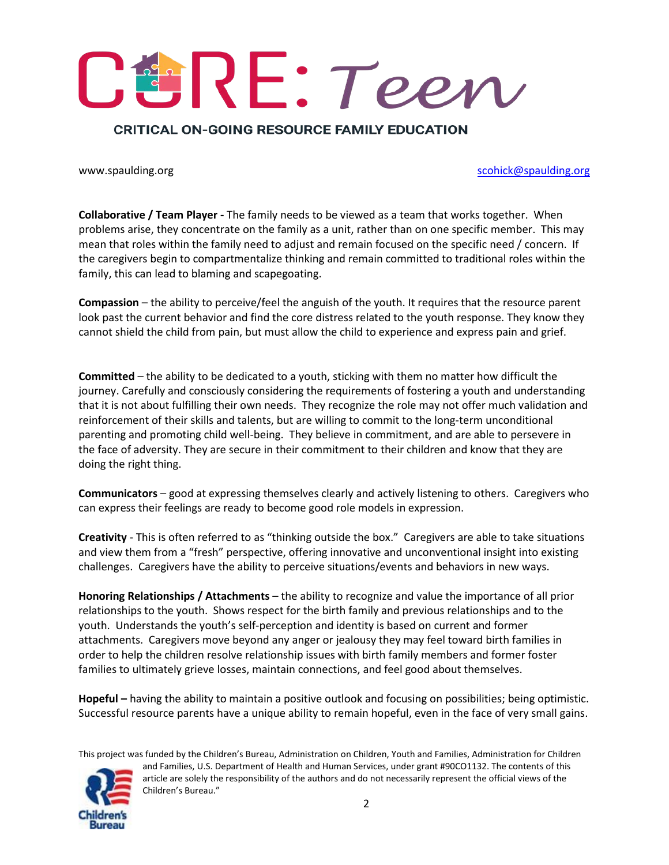## **CRITICAL ON-GOING RESOURCE FAMILY EDUCATION**

www.spaulding.org [scohick@spaulding.org](mailto:scohick@spaulding.org) scohick@spaulding.org

**Collaborative / Team Player -** The family needs to be viewed as a team that works together. When problems arise, they concentrate on the family as a unit, rather than on one specific member. This may mean that roles within the family need to adjust and remain focused on the specific need / concern. If the caregivers begin to compartmentalize thinking and remain committed to traditional roles within the family, this can lead to blaming and scapegoating.

**Compassion** – the ability to perceive/feel the anguish of the youth. It requires that the resource parent look past the current behavior and find the core distress related to the youth response. They know they cannot shield the child from pain, but must allow the child to experience and express pain and grief.

**Committed** – the ability to be dedicated to a youth, sticking with them no matter how difficult the journey. Carefully and consciously considering the requirements of fostering a youth and understanding that it is not about fulfilling their own needs. They recognize the role may not offer much validation and reinforcement of their skills and talents, but are willing to commit to the long-term unconditional parenting and promoting child well-being. They believe in commitment, and are able to persevere in the face of adversity. They are secure in their commitment to their children and know that they are doing the right thing.

**Communicators** – good at expressing themselves clearly and actively listening to others. Caregivers who can express their feelings are ready to become good role models in expression.

**Creativity** - This is often referred to as "thinking outside the box." Caregivers are able to take situations and view them from a "fresh" perspective, offering innovative and unconventional insight into existing challenges. Caregivers have the ability to perceive situations/events and behaviors in new ways.

**Honoring Relationships / Attachments** – the ability to recognize and value the importance of all prior relationships to the youth. Shows respect for the birth family and previous relationships and to the youth. Understands the youth's self-perception and identity is based on current and former attachments. Caregivers move beyond any anger or jealousy they may feel toward birth families in order to help the children resolve relationship issues with birth family members and former foster families to ultimately grieve losses, maintain connections, and feel good about themselves.

**Hopeful –** having the ability to maintain a positive outlook and focusing on possibilities; being optimistic. Successful resource parents have a unique ability to remain hopeful, even in the face of very small gains.

This project was funded by the Children's Bureau, Administration on Children, Youth and Families, Administration for Children

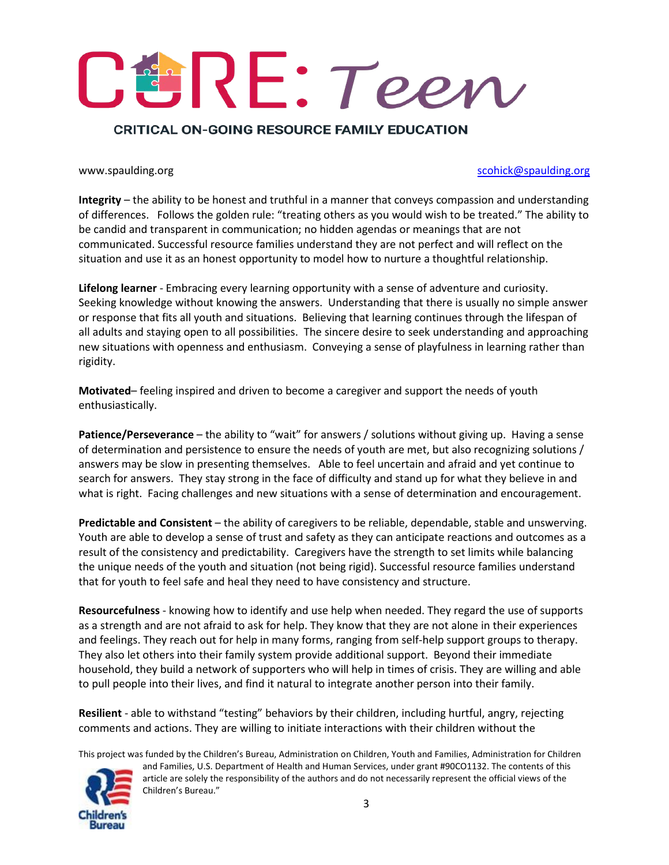## **CRITICAL ON-GOING RESOURCE FAMILY EDUCATION**

### www.spaulding.org [scohick@spaulding.org](mailto:scohick@spaulding.org) scohick@spaulding.org

**Integrity** – the ability to be honest and truthful in a manner that conveys compassion and understanding of differences. Follows the golden rule: "treating others as you would wish to be treated." The ability to be candid and transparent in communication; no hidden agendas or meanings that are not communicated. Successful resource families understand they are not perfect and will reflect on the situation and use it as an honest opportunity to model how to nurture a thoughtful relationship.

**Lifelong learner** - Embracing every learning opportunity with a sense of adventure and curiosity. Seeking knowledge without knowing the answers. Understanding that there is usually no simple answer or response that fits all youth and situations. Believing that learning continues through the lifespan of all adults and staying open to all possibilities. The sincere desire to seek understanding and approaching new situations with openness and enthusiasm. Conveying a sense of playfulness in learning rather than rigidity.

**Motivated**– feeling inspired and driven to become a caregiver and support the needs of youth enthusiastically.

**Patience/Perseverance** – the ability to "wait" for answers / solutions without giving up. Having a sense of determination and persistence to ensure the needs of youth are met, but also recognizing solutions / answers may be slow in presenting themselves. Able to feel uncertain and afraid and yet continue to search for answers. They stay strong in the face of difficulty and stand up for what they believe in and what is right. Facing challenges and new situations with a sense of determination and encouragement.

**Predictable and Consistent** – the ability of caregivers to be reliable, dependable, stable and unswerving. Youth are able to develop a sense of trust and safety as they can anticipate reactions and outcomes as a result of the consistency and predictability. Caregivers have the strength to set limits while balancing the unique needs of the youth and situation (not being rigid). Successful resource families understand that for youth to feel safe and heal they need to have consistency and structure.

**Resourcefulness** - knowing how to identify and use help when needed. They regard the use of supports as a strength and are not afraid to ask for help. They know that they are not alone in their experiences and feelings. They reach out for help in many forms, ranging from self-help support groups to therapy. They also let others into their family system provide additional support. Beyond their immediate household, they build a network of supporters who will help in times of crisis. They are willing and able to pull people into their lives, and find it natural to integrate another person into their family.

**Resilient** - able to withstand "testing" behaviors by their children, including hurtful, angry, rejecting comments and actions. They are willing to initiate interactions with their children without the

This project was funded by the Children's Bureau, Administration on Children, Youth and Families, Administration for Children

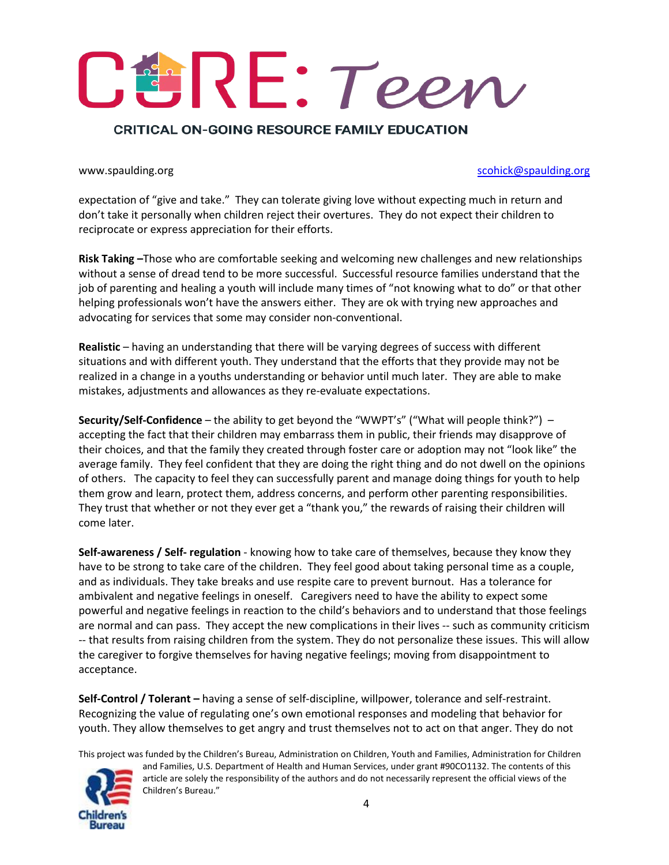## **CRITICAL ON-GOING RESOURCE FAMILY EDUCATION**

### www.spaulding.org [scohick@spaulding.org](mailto:scohick@spaulding.org) scohick@spaulding.org

expectation of "give and take." They can tolerate giving love without expecting much in return and don't take it personally when children reject their overtures. They do not expect their children to reciprocate or express appreciation for their efforts.

**Risk Taking –**Those who are comfortable seeking and welcoming new challenges and new relationships without a sense of dread tend to be more successful. Successful resource families understand that the job of parenting and healing a youth will include many times of "not knowing what to do" or that other helping professionals won't have the answers either. They are ok with trying new approaches and advocating for services that some may consider non-conventional.

**Realistic** – having an understanding that there will be varying degrees of success with different situations and with different youth. They understand that the efforts that they provide may not be realized in a change in a youths understanding or behavior until much later. They are able to make mistakes, adjustments and allowances as they re-evaluate expectations.

**Security/Self-Confidence** – the ability to get beyond the "WWPT's" ("What will people think?") – accepting the fact that their children may embarrass them in public, their friends may disapprove of their choices, and that the family they created through foster care or adoption may not "look like" the average family. They feel confident that they are doing the right thing and do not dwell on the opinions of others. The capacity to feel they can successfully parent and manage doing things for youth to help them grow and learn, protect them, address concerns, and perform other parenting responsibilities. They trust that whether or not they ever get a "thank you," the rewards of raising their children will come later.

**Self-awareness / Self- regulation** - knowing how to take care of themselves, because they know they have to be strong to take care of the children. They feel good about taking personal time as a couple, and as individuals. They take breaks and use respite care to prevent burnout. Has a tolerance for ambivalent and negative feelings in oneself. Caregivers need to have the ability to expect some powerful and negative feelings in reaction to the child's behaviors and to understand that those feelings are normal and can pass. They accept the new complications in their lives -- such as community criticism -- that results from raising children from the system. They do not personalize these issues. This will allow the caregiver to forgive themselves for having negative feelings; moving from disappointment to acceptance.

**Self-Control / Tolerant –** having a sense of self-discipline, willpower, tolerance and self-restraint. Recognizing the value of regulating one's own emotional responses and modeling that behavior for youth. They allow themselves to get angry and trust themselves not to act on that anger. They do not

This project was funded by the Children's Bureau, Administration on Children, Youth and Families, Administration for Children



Children's Bureau."